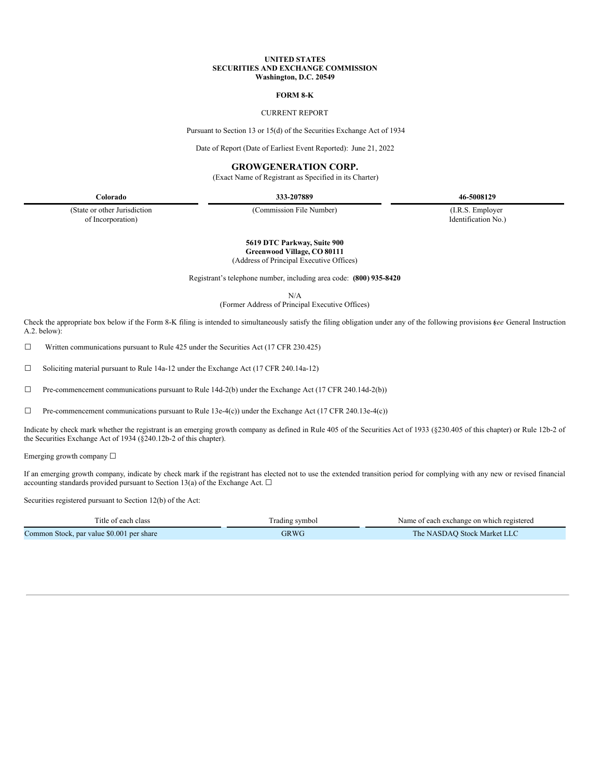### **UNITED STATES SECURITIES AND EXCHANGE COMMISSION Washington, D.C. 20549**

#### **FORM 8-K**

## CURRENT REPORT

Pursuant to Section 13 or 15(d) of the Securities Exchange Act of 1934

Date of Report (Date of Earliest Event Reported): June 21, 2022

# **GROWGENERATION CORP.**

(Exact Name of Registrant as Specified in its Charter)

**Colorado 333-207889 46-5008129**

(State or other Jurisdiction of Incorporation)

(Commission File Number) (I.R.S. Employer

Identification No.)

### **5619 DTC Parkway, Suite 900 Greenwood Village, CO 80111**

(Address of Principal Executive Offices)

Registrant's telephone number, including area code: **(800) 935-8420**

N/A

(Former Address of Principal Executive Offices)

Check the appropriate box below if the Form 8-K filing is intended to simultaneously satisfy the filing obligation under any of the following provisions (*see* General Instruction A.2. below):

☐ Written communications pursuant to Rule 425 under the Securities Act (17 CFR 230.425)

☐ Soliciting material pursuant to Rule 14a-12 under the Exchange Act (17 CFR 240.14a-12)

☐ Pre-commencement communications pursuant to Rule 14d-2(b) under the Exchange Act (17 CFR 240.14d-2(b))

 $\Box$  Pre-commencement communications pursuant to Rule 13e-4(c)) under the Exchange Act (17 CFR 240.13e-4(c))

Indicate by check mark whether the registrant is an emerging growth company as defined in Rule 405 of the Securities Act of 1933 (§230.405 of this chapter) or Rule 12b-2 of the Securities Exchange Act of 1934 (§240.12b-2 of this chapter).

Emerging growth company ☐

If an emerging growth company, indicate by check mark if the registrant has elected not to use the extended transition period for complying with any new or revised financial accounting standards provided pursuant to Section 13(a) of the Exchange Act.  $\Box$ 

Securities registered pursuant to Section 12(b) of the Act:

| Title of each class                       | Trading symbol | Name of each exchange on which registered |
|-------------------------------------------|----------------|-------------------------------------------|
| Common Stock, par value \$0.001 per share | GRWG           | The NASDAO Stock Market LLC               |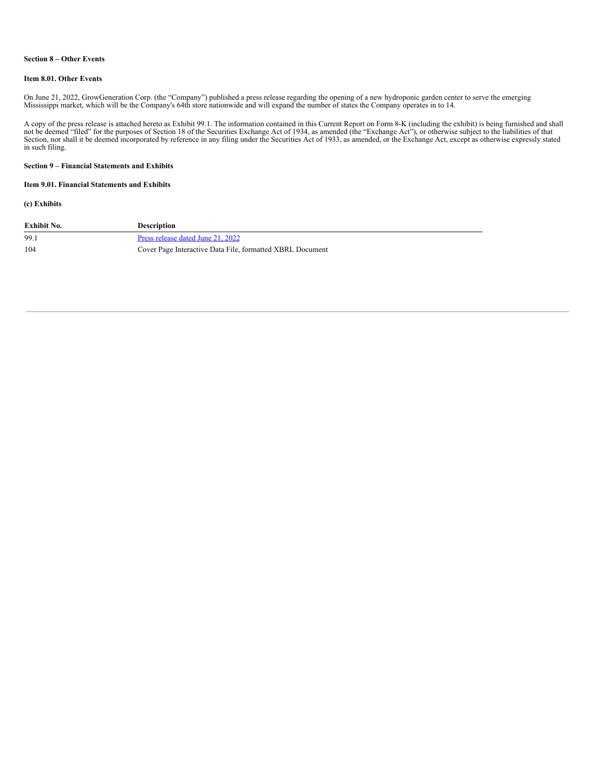### **Section 8 – Other Events**

#### **Item 8.01. Other Events**

On June 21, 2022, GrowGeneration Corp. (the "Company") published a press release regarding the opening of a new hydroponic garden center to serve the emerging Mississippi market, which will be the Company's 64th store nati

A copy of the press release is attached hereto as Exhibit 99.1. The information contained in this Current Report on Form 8-K (including the exhibit) is being furnished and shall not be deemed "filed" for the purposes of Se in such filing.

### **Section 9 – Financial Statements and Exhibits**

# **Item 9.01. Financial Statements and Exhibits**

### **(c) Exhibits**

| Exhibit No. | <b>Description</b>                                        |
|-------------|-----------------------------------------------------------|
| 99.1        | Press release dated June 21, 2022                         |
| 104         | Cover Page Interactive Data File, formatted XBRL Document |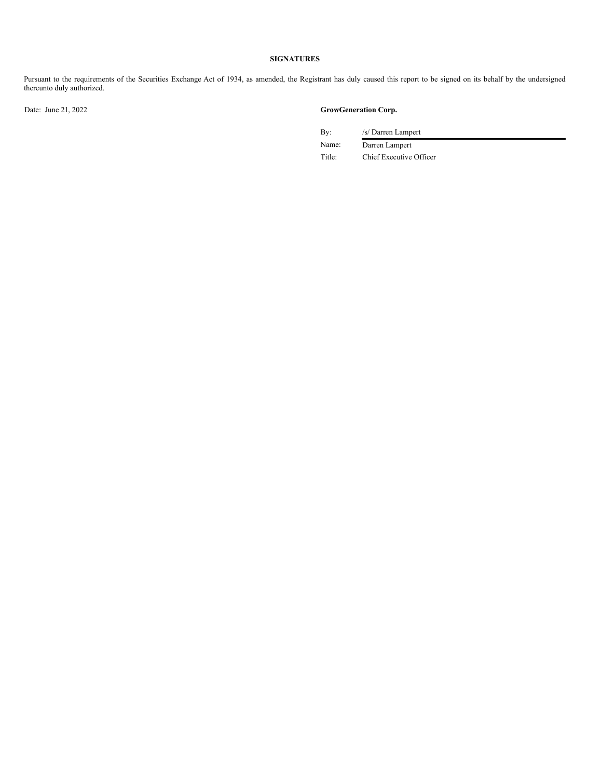# **SIGNATURES**

Pursuant to the requirements of the Securities Exchange Act of 1934, as amended, the Registrant has duly caused this report to be signed on its behalf by the undersigned thereunto duly authorized.

# Date: June 21, 2022 **GrowGeneration Corp.**

By: /s/ Darren Lampert

Name: Darren Lampert Title: Chief Executive Officer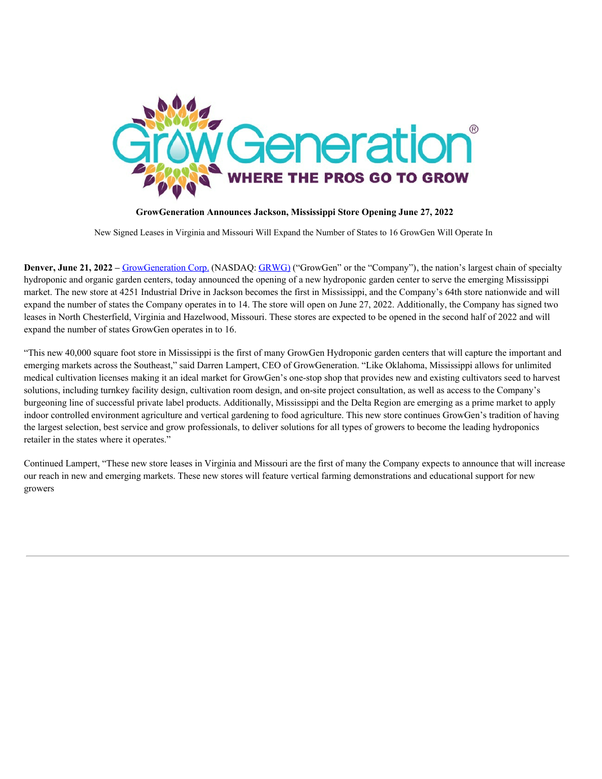<span id="page-3-0"></span>

**GrowGeneration Announces Jackson, Mississippi Store Opening June 27, 2022**

New Signed Leases in Virginia and Missouri Will Expand the Number of States to 16 GrowGen Will Operate In

**Denver, June 21, 2022** – GrowGeneration Corp. (NASDAQ: GRWG) ("GrowGen" or the "Company"), the nation's largest chain of specialty hydroponic and organic garden centers, today announced the opening of a new hydroponic garden center to serve the emerging Mississippi market. The new store at 4251 Industrial Drive in Jackson becomes the first in Mississippi, and the Company's 64th store nationwide and will expand the number of states the Company operates in to 14. The store will open on June 27, 2022. Additionally, the Company has signed two leases in North Chesterfield, Virginia and Hazelwood, Missouri. These stores are expected to be opened in the second half of 2022 and will expand the number of states GrowGen operates in to 16.

"This new 40,000 square foot store in Mississippi is the first of many GrowGen Hydroponic garden centers that will capture the important and emerging markets across the Southeast," said Darren Lampert, CEO of GrowGeneration. "Like Oklahoma, Mississippi allows for unlimited medical cultivation licenses making it an ideal market for GrowGen's one-stop shop that provides new and existing cultivators seed to harvest solutions, including turnkey facility design, cultivation room design, and on-site project consultation, as well as access to the Company's burgeoning line of successful private label products. Additionally, Mississippi and the Delta Region are emerging as a prime market to apply indoor controlled environment agriculture and vertical gardening to food agriculture. This new store continues GrowGen's tradition of having the largest selection, best service and grow professionals, to deliver solutions for all types of growers to become the leading hydroponics retailer in the states where it operates."

Continued Lampert, "These new store leases in Virginia and Missouri are the first of many the Company expects to announce that will increase our reach in new and emerging markets. These new stores will feature vertical farming demonstrations and educational support for new growers